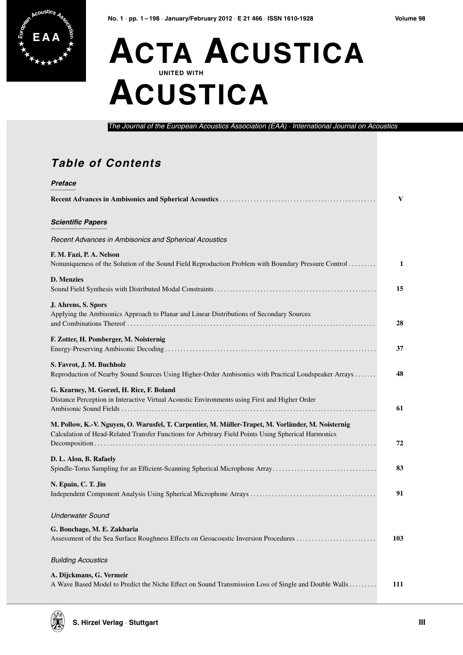

## **ACTA ACUSTICA UNITED WITH ACUSTICA**

The Journal of the European Acoustics Association (EAA) · International Journal on Acoustics

## **Table of Contents**

| Preface                                                                                                                                                                                                   |     |
|-----------------------------------------------------------------------------------------------------------------------------------------------------------------------------------------------------------|-----|
|                                                                                                                                                                                                           | V   |
| <b>Scientific Papers</b>                                                                                                                                                                                  |     |
| Recent Advances in Ambisonics and Spherical Acoustics                                                                                                                                                     |     |
| F. M. Fazi, P. A. Nelson<br>Nonuniqueness of the Solution of the Sound Field Reproduction Problem with Boundary Pressure Control                                                                          | 1   |
| <b>D.</b> Menzies                                                                                                                                                                                         | 15  |
| J. Ahrens, S. Spors<br>Applying the Ambisonics Approach to Planar and Linear Distributions of Secondary Sources                                                                                           | 28  |
| F. Zotter, H. Pomberger, M. Noisternig                                                                                                                                                                    | 37  |
| S. Favrot, J. M. Buchholz<br>Reproduction of Nearby Sound Sources Using Higher-Order Ambisonics with Practical Loudspeaker Arrays                                                                         | 48  |
| G. Kearney, M. Gorzel, H. Rice, F. Boland<br>Distance Perception in Interactive Virtual Acoustic Environments using First and Higher Order                                                                | 61  |
| M. Pollow, K.-V. Nguyen, O. Warusfel, T. Carpentier, M. Müller-Trapet, M. Vorländer, M. Noisternig<br>Calculation of Head-Related Transfer Functions for Arbitrary Field Points Using Spherical Harmonics | 72  |
| D. L. Alon, B. Rafaely<br>Spindle-Torus Sampling for an Efficient-Scanning Spherical Microphone Array                                                                                                     | 83  |
| N. Epain, C. T. Jin                                                                                                                                                                                       | 91  |
| <b>Underwater Sound</b>                                                                                                                                                                                   |     |
| G. Bouchage, M. E. Zakharia<br>Assessment of the Sea Surface Roughness Effects on Geoacoustic Inversion Procedures                                                                                        | 103 |
| <b>Building Acoustics</b>                                                                                                                                                                                 |     |
| A. Dijckmans, G. Vermeir<br>A Wave Based Model to Predict the Niche Effect on Sound Transmission Loss of Single and Double Walls                                                                          | 111 |